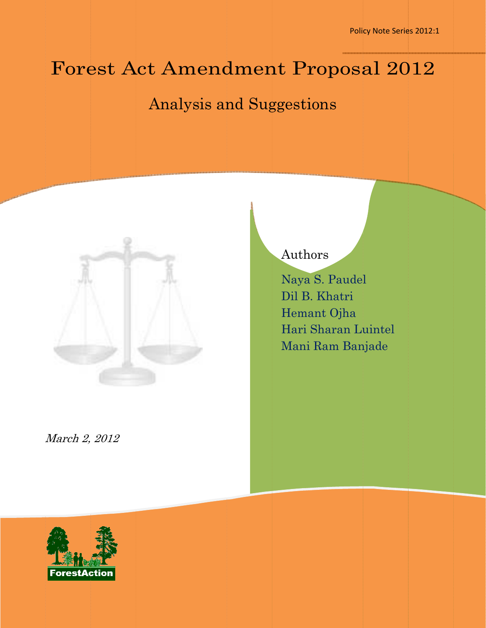Policy Note Series 2012:1

# Forest Act Amendment Proposal 2012

# Analysis and Suggestions



# Authors

Naya S S. Paudel Dil B. K Khatri Heman nt Ojha Naya S. Paudel<br>Dil B. Khatri<br>Hemant Ojha<br>Hari Sharan Luintel Mani R Ram Ban njade

M March 2, 2012

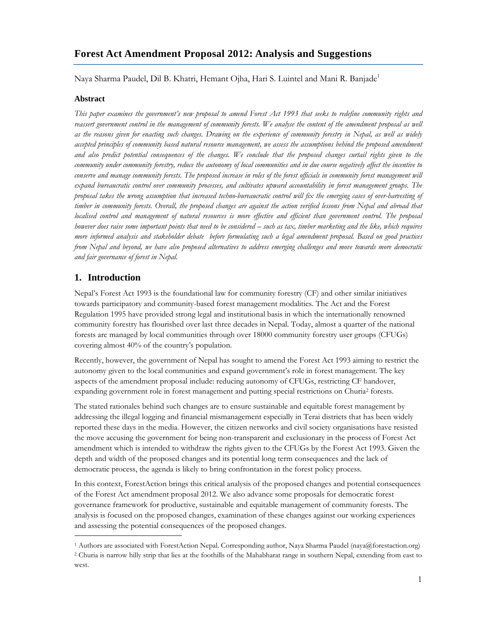# **Forest Act Amendment Proposal 2012: Analysis and Suggestions**

Naya Sharma Paudel, Dil B. Khatri, Hemant Ojha, Hari S. Luintel and Mani R. Banjade<sup>1</sup>

#### **Abstract**

*This paper examines the government's new proposal to amend Forest Act 1993 that seeks to redefine community rights and*  reassert government control in the management of community forests. We analyse the content of the amendment proposal as well *as the reasons given for enacting such changes. Drawing on the experience of community forestry in Nepal, as well as widely accepted principles of community based natural resource management, we assess the assumptions behind the proposed amendment and also predict potential consequences of the changes. We conclude that the proposed changes curtail rights given to the community under community forestry, reduce the autonomy of local communities and in due course negatively affect the incentive to conserve and manage community forests. The proposed increase in roles of the forest officials in community forest management will expand bureaucratic control over community processes, and cultivates upward accountability in forest management groups. The proposal takes the wrong assumption that increased techno-bureaucratic control will fix the emerging cases of over-harvesting of timber in community forests. Overall, the proposed changes are against the action verified lessons from Nepal and abroad that localised control and management of natural resources is more effective and efficient than government control. The proposal however does raise some important points that need to be considered – such as tax, timber marketing and the like, which requires more informed analysis and stakeholder debate before formulating such a legal amendment proposal. Based on good practices from Nepal and beyond, we have also proposed alternatives to address emerging challenges and move towards more democratic and fair governance of forest in Nepal.* 

#### **1. Introduction**

-

Nepal's Forest Act 1993 is the foundational law for community forestry (CF) and other similar initiatives towards participatory and community-based forest management modalities. The Act and the Forest Regulation 1995 have provided strong legal and institutional basis in which the internationally renowned community forestry has flourished over last three decades in Nepal. Today, almost a quarter of the national forests are managed by local communities through over 18000 community forestry user groups (CFUGs) covering almost 40% of the country's population.

Recently, however, the government of Nepal has sought to amend the Forest Act 1993 aiming to restrict the autonomy given to the local communities and expand government's role in forest management. The key aspects of the amendment proposal include: reducing autonomy of CFUGs, restricting CF handover, expanding government role in forest management and putting special restrictions on Churia2 forests.

The stated rationales behind such changes are to ensure sustainable and equitable forest management by addressing the illegal logging and financial mismanagement especially in Terai districts that has been widely reported these days in the media. However, the citizen networks and civil society organisations have resisted the move accusing the government for being non-transparent and exclusionary in the process of Forest Act amendment which is intended to withdraw the rights given to the CFUGs by the Forest Act 1993. Given the depth and width of the proposed changes and its potential long term consequences and the lack of democratic process, the agenda is likely to bring confrontation in the forest policy process.

In this context, ForestAction brings this critical analysis of the proposed changes and potential consequences of the Forest Act amendment proposal 2012. We also advance some proposals for democratic forest governance framework for productive, sustainable and equitable management of community forests. The analysis is focused on the proposed changes, examination of these changes against our working experiences and assessing the potential consequences of the proposed changes.

<sup>1</sup> Authors are associated with ForestAction Nepal. Corresponding author, Naya Sharma Paudel (naya@forestaction.org) 2 Churia is narrow hilly strip that lies at the foothills of the Mahabharat range in southern Nepal, extending from east to west.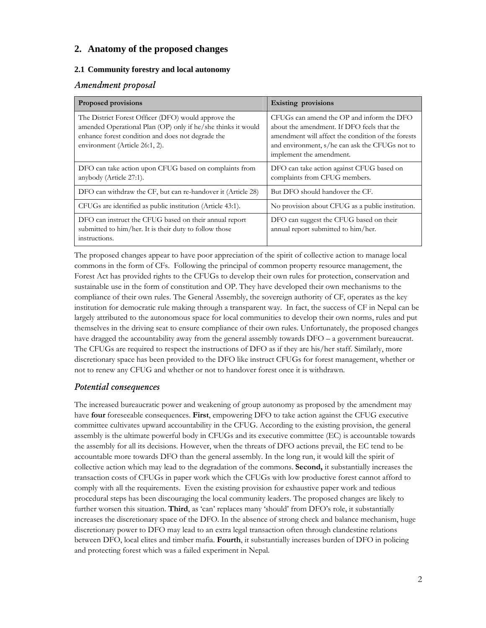## **2. Anatomy of the proposed changes**

#### **2.1 Community forestry and local autonomy**

#### *Amendment proposal*

| Proposed provisions                                                                                                                                                                                        | <b>Existing provisions</b>                                                                                                                                                                                                  |
|------------------------------------------------------------------------------------------------------------------------------------------------------------------------------------------------------------|-----------------------------------------------------------------------------------------------------------------------------------------------------------------------------------------------------------------------------|
| The District Forest Officer (DFO) would approve the<br>amended Operational Plan (OP) only if he/she thinks it would<br>enhance forest condition and does not degrade the<br>environment (Article 26:1, 2). | CFUGs can amend the OP and inform the DFO<br>about the amendment. If DFO feels that the<br>amendment will affect the condition of the forests<br>and environment, s/he can ask the CFUGs not to<br>implement the amendment. |
| DFO can take action upon CFUG based on complaints from<br>anybody (Article 27:1).                                                                                                                          | DFO can take action against CFUG based on<br>complaints from CFUG members.                                                                                                                                                  |
| DFO can withdraw the CF, but can re-handover it (Article 28)                                                                                                                                               | But DFO should handover the CF.                                                                                                                                                                                             |
| CFUGs are identified as public institution (Article 43:1).                                                                                                                                                 | No provision about CFUG as a public institution.                                                                                                                                                                            |
| DFO can instruct the CFUG based on their annual report<br>submitted to him/her. It is their duty to follow those<br>instructions.                                                                          | DFO can suggest the CFUG based on their<br>annual report submitted to him/her.                                                                                                                                              |

The proposed changes appear to have poor appreciation of the spirit of collective action to manage local commons in the form of CFs. Following the principal of common property resource management, the Forest Act has provided rights to the CFUGs to develop their own rules for protection, conservation and sustainable use in the form of constitution and OP. They have developed their own mechanisms to the compliance of their own rules. The General Assembly, the sovereign authority of CF, operates as the key institution for democratic rule making through a transparent way. In fact, the success of CF in Nepal can be largely attributed to the autonomous space for local communities to develop their own norms, rules and put themselves in the driving seat to ensure compliance of their own rules. Unfortunately, the proposed changes have dragged the accountability away from the general assembly towards DFO – a government bureaucrat. The CFUGs are required to respect the instructions of DFO as if they are his/her staff. Similarly, more discretionary space has been provided to the DFO like instruct CFUGs for forest management, whether or not to renew any CFUG and whether or not to handover forest once it is withdrawn.

# *Potential consequences*

The increased bureaucratic power and weakening of group autonomy as proposed by the amendment may have **four** foreseeable consequences. **First**, empowering DFO to take action against the CFUG executive committee cultivates upward accountability in the CFUG. According to the existing provision, the general assembly is the ultimate powerful body in CFUGs and its executive committee (EC) is accountable towards the assembly for all its decisions. However, when the threats of DFO actions prevail, the EC tend to be accountable more towards DFO than the general assembly. In the long run, it would kill the spirit of collective action which may lead to the degradation of the commons. **Second,** it substantially increases the transaction costs of CFUGs in paper work which the CFUGs with low productive forest cannot afford to comply with all the requirements. Even the existing provision for exhaustive paper work and tedious procedural steps has been discouraging the local community leaders. The proposed changes are likely to further worsen this situation. **Third**, as 'can' replaces many 'should' from DFO's role, it substantially increases the discretionary space of the DFO. In the absence of strong check and balance mechanism, huge discretionary power to DFO may lead to an extra legal transaction often through clandestine relations between DFO, local elites and timber mafia. **Fourth**, it substantially increases burden of DFO in policing and protecting forest which was a failed experiment in Nepal.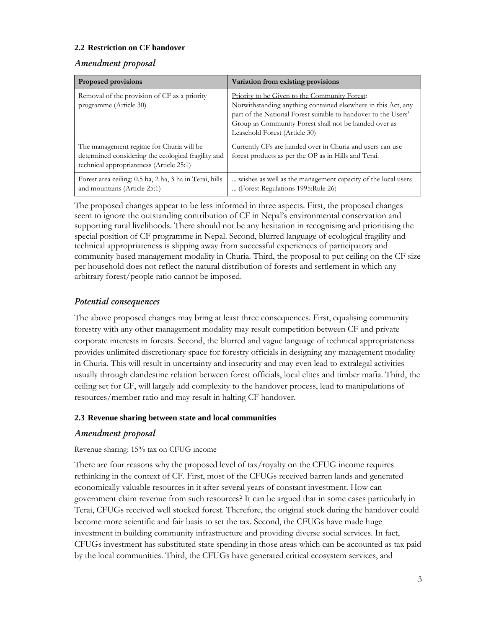#### **2.2 Restriction on CF handover**

#### *Amendment proposal*

| <b>Proposed provisions</b>                                                                                                                  | Variation from existing provisions                                                                                                                                                                                                                                                |
|---------------------------------------------------------------------------------------------------------------------------------------------|-----------------------------------------------------------------------------------------------------------------------------------------------------------------------------------------------------------------------------------------------------------------------------------|
| Removal of the provision of CF as a priority<br>programme (Article 30)                                                                      | <b>Priority to be Given to the Community Forest:</b><br>Notwithstanding anything contained elsewhere in this Act, any<br>part of the National Forest suitable to handover to the Users'<br>Group as Community Forest shall not be handed over as<br>Leasehold Forest (Article 30) |
| The management regime for Churia will be<br>determined considering the ecological fragility and<br>technical appropriateness (Article 25:1) | Currently CFs are handed over in Churia and users can use<br>forest products as per the OP as in Hills and Terai.                                                                                                                                                                 |
| Forest area ceiling: 0.5 ha, 2 ha, 3 ha in Terai, hills<br>and mountains (Article 25:1)                                                     | wishes as well as the management capacity of the local users<br>(Forest Regulations 1995: Rule 26)                                                                                                                                                                                |

The proposed changes appear to be less informed in three aspects. First, the proposed changes seem to ignore the outstanding contribution of CF in Nepal's environmental conservation and supporting rural livelihoods. There should not be any hesitation in recognising and prioritising the special position of CF programme in Nepal. Second, blurred language of ecological fragility and technical appropriateness is slipping away from successful experiences of participatory and community based management modality in Churia. Third, the proposal to put ceiling on the CF size per household does not reflect the natural distribution of forests and settlement in which any arbitrary forest/people ratio cannot be imposed.

# *Potential consequences*

The above proposed changes may bring at least three consequences. First, equalising community forestry with any other management modality may result competition between CF and private corporate interests in forests. Second, the blurred and vague language of technical appropriateness provides unlimited discretionary space for forestry officials in designing any management modality in Churia. This will result in uncertainty and insecurity and may even lead to extralegal activities usually through clandestine relation between forest officials, local elites and timber mafia. Third, the ceiling set for CF, will largely add complexity to the handover process, lead to manipulations of resources/member ratio and may result in halting CF handover.

#### **2.3 Revenue sharing between state and local communities**

#### *Amendment proposal*

#### Revenue sharing: 15% tax on CFUG income

There are four reasons why the proposed level of tax/royalty on the CFUG income requires rethinking in the context of CF. First, most of the CFUGs received barren lands and generated economically valuable resources in it after several years of constant investment. How can government claim revenue from such resources? It can be argued that in some cases particularly in Terai, CFUGs received well stocked forest. Therefore, the original stock during the handover could become more scientific and fair basis to set the tax. Second, the CFUGs have made huge investment in building community infrastructure and providing diverse social services. In fact, CFUGs investment has substituted state spending in those areas which can be accounted as tax paid by the local communities. Third, the CFUGs have generated critical ecosystem services, and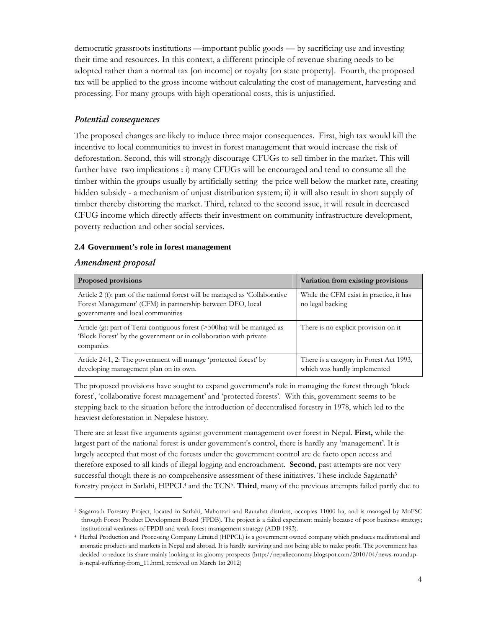democratic grassroots institutions —important public goods — by sacrificing use and investing their time and resources. In this context, a different principle of revenue sharing needs to be adopted rather than a normal tax [on income] or royalty [on state property]. Fourth, the proposed tax will be applied to the gross income without calculating the cost of management, harvesting and processing. For many groups with high operational costs, this is unjustified.

# *Potential consequences*

The proposed changes are likely to induce three major consequences. First, high tax would kill the incentive to local communities to invest in forest management that would increase the risk of deforestation. Second, this will strongly discourage CFUGs to sell timber in the market. This will further have two implications : i) many CFUGs will be encouraged and tend to consume all the timber within the groups usually by artificially setting the price well below the market rate, creating hidden subsidy - a mechanism of unjust distribution system; ii) it will also result in short supply of timber thereby distorting the market. Third, related to the second issue, it will result in decreased CFUG income which directly affects their investment on community infrastructure development, poverty reduction and other social services.

#### **2.4 Government's role in forest management**

## *Amendment proposal*

-

| <b>Proposed provisions</b>                                                                                                                                                      | Variation from existing provisions                                      |
|---------------------------------------------------------------------------------------------------------------------------------------------------------------------------------|-------------------------------------------------------------------------|
| Article 2 (f): part of the national forest will be managed as 'Collaborative<br>Forest Management' (CFM) in partnership between DFO, local<br>governments and local communities | While the CFM exist in practice, it has<br>no legal backing             |
| Article (g): part of Terai contiguous forest (>500ha) will be managed as<br>'Block Forest' by the government or in collaboration with private<br>companies                      | There is no explicit provision on it                                    |
| Article 24:1, 2: The government will manage 'protected forest' by<br>developing management plan on its own.                                                                     | There is a category in Forest Act 1993,<br>which was hardly implemented |

The proposed provisions have sought to expand government's role in managing the forest through 'block forest', 'collaborative forest management' and 'protected forests'. With this, government seems to be stepping back to the situation before the introduction of decentralised forestry in 1978, which led to the heaviest deforestation in Nepalese history.

There are at least five arguments against government management over forest in Nepal. **First,** while the largest part of the national forest is under government's control, there is hardly any 'management'. It is largely accepted that most of the forests under the government control are de facto open access and therefore exposed to all kinds of illegal logging and encroachment. **Second**, past attempts are not very successful though there is no comprehensive assessment of these initiatives. These include Sagarnath<sup>3</sup> forestry project in Sarlahi, HPPCL4 and the TCN5. **Third**, many of the previous attempts failed partly due to

<sup>3</sup> Sagarnath Forestry Project, located in Sarlahi, Mahottari and Rautahat districts, occupies 11000 ha, and is managed by MoFSC through Forest Product Development Board (FPDB). The project is a failed experiment mainly because of poor business strategy; institutional weakness of FPDB and weak forest management strategy (ADB 1993).

<sup>4</sup> Herbal Production and Processing Company Limited (HPPCL) is a government owned company which produces meditational and aromatic products and markets in Nepal and abroad. It is hardly surviving and not being able to make profit. The government has decided to reduce its share mainly looking at its gloomy prospects (http://nepalieconomy.blogspot.com/2010/04/news-roundupis-nepal-suffering-from\_11.html, retrieved on March 1st 2012)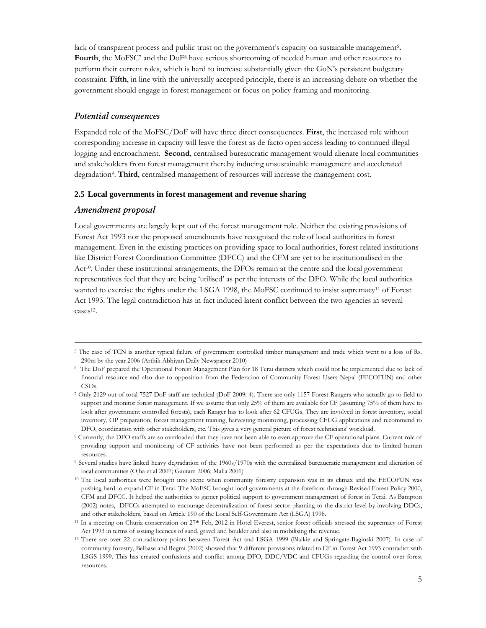lack of transparent process and public trust on the government's capacity on sustainable management<sup>6</sup>. **Fourth**, the MoFSC7 and the DoF8 have serious shortcoming of needed human and other resources to perform their current roles, which is hard to increase substantially given the GoN's persistent budgetary constraint. **Fifth**, in line with the universally accepted principle, there is an increasing debate on whether the government should engage in forest management or focus on policy framing and monitoring.

#### *Potential consequences*

Expanded role of the MoFSC/DoF will have three direct consequences. **First**, the increased role without corresponding increase in capacity will leave the forest as de facto open access leading to continued illegal logging and encroachment. **Second**, centralised bureaucratic management would alienate local communities and stakeholders from forest management thereby inducing unsustainable management and accelerated degradation9. **Third**, centralised management of resources will increase the management cost.

#### **2.5 Local governments in forest management and revenue sharing**

#### *Amendment proposal*

Local governments are largely kept out of the forest management role. Neither the existing provisions of Forest Act 1993 nor the proposed amendments have recognised the role of local authorities in forest management. Even in the existing practices on providing space to local authorities, forest related institutions like District Forest Coordination Committee (DFCC) and the CFM are yet to be institutionalised in the Act<sup>10</sup>. Under these institutional arrangements, the DFOs remain at the centre and the local government representatives feel that they are being 'utilised' as per the interests of the DFO. While the local authorities wanted to exercise the rights under the LSGA 1998, the MoFSC continued to insist supremacy<sup>11</sup> of Forest Act 1993. The legal contradiction has in fact induced latent conflict between the two agencies in several cases<sup>12</sup>.

 <sup>5</sup> The case of TCN is another typical failure of government controlled timber management and trade which went to a loss of Rs. 290m by the year 2006 (Arthik Abhiyan Daily Newspaper 2010)

<sup>6</sup> The DoF prepared the Operational Forest Management Plan for 18 Terai districts which could not be implemented due to lack of financial resource and also due to opposition from the Federation of Community Forest Users Nepal (FECOFUN) and other CSOs.

<sup>7</sup> Only 2129 out of total 7527 DoF staff are technical (DoF 2009: 4). There are only 1157 Forest Rangers who actually go to field to support and monitor forest management. If we assume that only 25% of them are available for CF (assuming 75% of them have to look after government controlled forests), each Ranger has to look after 62 CFUGs. They are involved in forest inventory, social inventory, OP preparation, forest management training, harvesting monitoring, processing CFUG applications and recommend to DFO, coordination with other stakeholders, etc. This gives a very general picture of forest technicians' workload.

<sup>&</sup>lt;sup>8</sup> Currently, the DFO staffs are so overloaded that they have not been able to even approve the CF operational plans. Current role of providing support and monitoring of CF activities have not been performed as per the expectations due to limited human resources.

<sup>9</sup> Several studies have linked heavy degradation of the 1960s/1970s with the centralized bureaucratic management and alienation of local communities (Ojha et al 2007; Gautam 2006; Malla 2001)

<sup>&</sup>lt;sup>10</sup> The local authorities were brought into scene when community forestry expansion was in its climax and the FECOFUN was pushing hard to expand CF in Terai. The MoFSC brought local governments at the forefront through Revised Forest Policy 2000, CFM and DFCC. It helped the authorities to garner political support to government management of forest in Terai. As Bampton (2002) notes, DFCCs attempted to encourage decentralization of forest sector planning to the district level by involving DDCs, and other stakeholders, based on Article 190 of the Local Self-Government Act (LSGA) 1998.

<sup>&</sup>lt;sup>11</sup> In a meeting on Churia conservation on 27<sup>th</sup> Feb, 2012 in Hotel Everest, senior forest officials stressed the supremacy of Forest Act 1993 in terms of issuing licences of sand, gravel and boulder and also in mobilising the revenue.

<sup>12</sup> There are over 22 contradictory points between Forest Act and LSGA 1999 (Blaikie and Springate-Baginski 2007). In case of community forestry, Belbase and Regmi (2002) showed that 9 different provisions related to CF in Forest Act 1993 contradict with LSGS 1999. This has created confusions and conflict among DFO, DDC/VDC and CFUGs regarding the control over forest resources.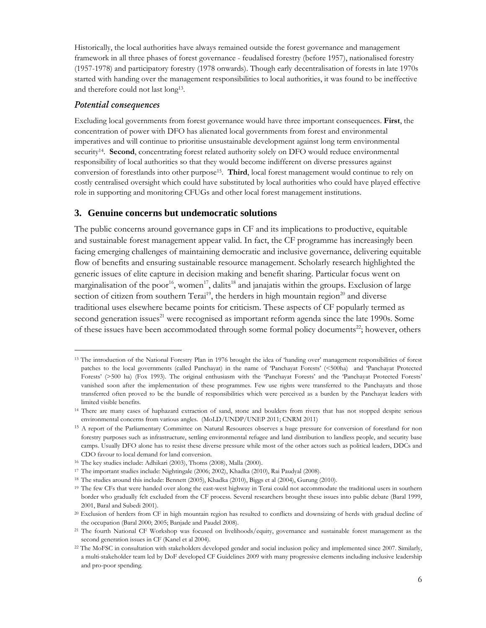Historically, the local authorities have always remained outside the forest governance and management framework in all three phases of forest governance - feudalised forestry (before 1957), nationalised forestry (1957-1978) and participatory forestry (1978 onwards). Though early decentralisation of forests in late 1970s started with handing over the management responsibilities to local authorities, it was found to be ineffective and therefore could not last long13.

#### *Potential consequences*

-

Excluding local governments from forest governance would have three important consequences. **First**, the concentration of power with DFO has alienated local governments from forest and environmental imperatives and will continue to prioritise unsustainable development against long term environmental security<sup>14</sup>. Second, concentrating forest related authority solely on DFO would reduce environmental responsibility of local authorities so that they would become indifferent on diverse pressures against conversion of forestlands into other purpose15. **Third**, local forest management would continue to rely on costly centralised oversight which could have substituted by local authorities who could have played effective role in supporting and monitoring CFUGs and other local forest management institutions.

#### **3. Genuine concerns but undemocratic solutions**

The public concerns around governance gaps in CF and its implications to productive, equitable and sustainable forest management appear valid. In fact, the CF programme has increasingly been facing emerging challenges of maintaining democratic and inclusive governance, delivering equitable flow of benefits and ensuring sustainable resource management. Scholarly research highlighted the generic issues of elite capture in decision making and benefit sharing. Particular focus went on marginalisation of the poor<sup>16</sup>, women<sup>17</sup>, dalits<sup>18</sup> and janajatis within the groups. Exclusion of large section of citizen from southern Terai<sup>19</sup>, the herders in high mountain region<sup>20</sup> and diverse traditional uses elsewhere became points for criticism. These aspects of CF popularly termed as second generation issues<sup>21</sup> were recognised as important reform agenda since the late 1990s. Some of these issues have been accommodated through some formal policy documents<sup>22</sup>; however, others

<sup>&</sup>lt;sup>13</sup> The introduction of the National Forestry Plan in 1976 brought the idea of 'handing over' management responsibilities of forest patches to the local governments (called Panchayat) in the name of 'Panchayat Forests' (<500ha) and 'Panchayat Protected Forests' (>500 ha) (Fox 1993). The original enthusiasm with the 'Panchayat Forests' and the 'Panchayat Protected Forests' vanished soon after the implementation of these programmes. Few use rights were transferred to the Panchayats and those transferred often proved to be the bundle of responsibilities which were perceived as a burden by the Panchayat leaders with limited visible benefits.

<sup>&</sup>lt;sup>14</sup> There are many cases of haphazard extraction of sand, stone and boulders from rivers that has not stopped despite serious environmental concerns from various angles. (MoLD/UNDP/UNEP 2011; CNRM 2011)

<sup>&</sup>lt;sup>15</sup> A report of the Parliamentary Committee on Natural Resources observes a huge pressure for conversion of forestland for non forestry purposes such as infrastructure, settling environmental refugee and land distribution to landless people, and security base camps. Usually DFO alone has to resist these diverse pressure while most of the other actors such as political leaders, DDCs and CDO favour to local demand for land conversion.

<sup>16</sup> The key studies include: Adhikari (2003), Thoms (2008), Malla (2000).

<sup>17</sup> The important studies include: Nightingale (2006; 2002), Khadka (2010), Rai Paudyal (2008).

<sup>18</sup> The studies around this include: Bennett (2005), Khadka (2010), Biggs et al (2004), Gurung (2010).

<sup>19</sup> The few CFs that were handed over along the east-west highway in Terai could not accommodate the traditional users in southern border who gradually felt excluded from the CF process. Several researchers brought these issues into public debate (Baral 1999, 2001, Baral and Subedi 2001).

<sup>20</sup> Exclusion of herders from CF in high mountain region has resulted to conflicts and downsizing of herds with gradual decline of the occupation (Baral 2000; 2005; Banjade and Paudel 2008).

<sup>21</sup> The fourth National CF Workshop was focused on livelihoods/equity, governance and sustainable forest management as the second generation issues in CF (Kanel et al 2004).

<sup>&</sup>lt;sup>22</sup> The MoFSC in consultation with stakeholders developed gender and social inclusion policy and implemented since 2007. Similarly, a multi-stakeholder team led by DoF developed CF Guidelines 2009 with many progressive elements including inclusive leadership and pro-poor spending.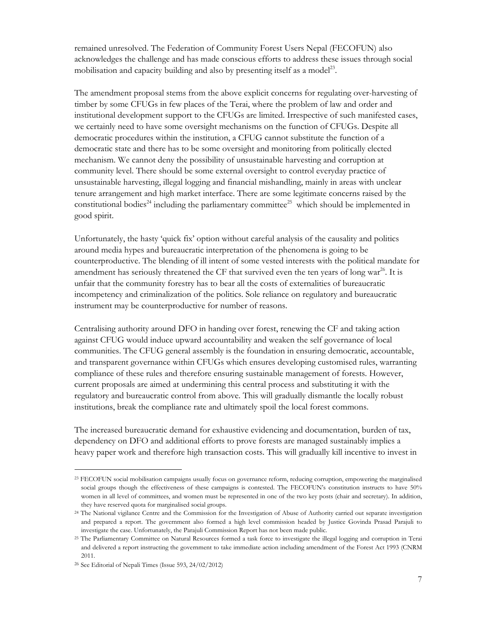remained unresolved. The Federation of Community Forest Users Nepal (FECOFUN) also acknowledges the challenge and has made conscious efforts to address these issues through social mobilisation and capacity building and also by presenting itself as a model<sup>23</sup>.

The amendment proposal stems from the above explicit concerns for regulating over-harvesting of timber by some CFUGs in few places of the Terai, where the problem of law and order and institutional development support to the CFUGs are limited. Irrespective of such manifested cases, we certainly need to have some oversight mechanisms on the function of CFUGs. Despite all democratic procedures within the institution, a CFUG cannot substitute the function of a democratic state and there has to be some oversight and monitoring from politically elected mechanism. We cannot deny the possibility of unsustainable harvesting and corruption at community level. There should be some external oversight to control everyday practice of unsustainable harvesting, illegal logging and financial mishandling, mainly in areas with unclear tenure arrangement and high market interface. There are some legitimate concerns raised by the constitutional bodies<sup>24</sup> including the parliamentary committee<sup>25</sup> which should be implemented in good spirit.

Unfortunately, the hasty 'quick fix' option without careful analysis of the causality and politics around media hypes and bureaucratic interpretation of the phenomena is going to be counterproductive. The blending of ill intent of some vested interests with the political mandate for amendment has seriously threatened the CF that survived even the ten years of long war<sup>26</sup>. It is unfair that the community forestry has to bear all the costs of externalities of bureaucratic incompetency and criminalization of the politics. Sole reliance on regulatory and bureaucratic instrument may be counterproductive for number of reasons.

Centralising authority around DFO in handing over forest, renewing the CF and taking action against CFUG would induce upward accountability and weaken the self governance of local communities. The CFUG general assembly is the foundation in ensuring democratic, accountable, and transparent governance within CFUGs which ensures developing customised rules, warranting compliance of these rules and therefore ensuring sustainable management of forests. However, current proposals are aimed at undermining this central process and substituting it with the regulatory and bureaucratic control from above. This will gradually dismantle the locally robust institutions, break the compliance rate and ultimately spoil the local forest commons.

The increased bureaucratic demand for exhaustive evidencing and documentation, burden of tax, dependency on DFO and additional efforts to prove forests are managed sustainably implies a heavy paper work and therefore high transaction costs. This will gradually kill incentive to invest in

-

<sup>23</sup> FECOFUN social mobilisation campaigns usually focus on governance reform, reducing corruption, empowering the marginalised social groups though the effectiveness of these campaigns is contested. The FECOFUN's constitution instructs to have 50% women in all level of committees, and women must be represented in one of the two key posts (chair and secretary). In addition, they have reserved quota for marginalised social groups.

<sup>24</sup> The National vigilance Centre and the Commission for the Investigation of Abuse of Authority carried out separate investigation and prepared a report. The government also formed a high level commission headed by Justice Govinda Prasad Parajuli to investigate the case. Unfortunately, the Parajuli Commission Report has not been made public.

<sup>25</sup> The Parliamentary Committee on Natural Resources formed a task force to investigate the illegal logging and corruption in Terai and delivered a report instructing the government to take immediate action including amendment of the Forest Act 1993 (CNRM 2011.

<sup>26</sup> See Editorial of Nepali Times (Issue 593, 24/02/2012)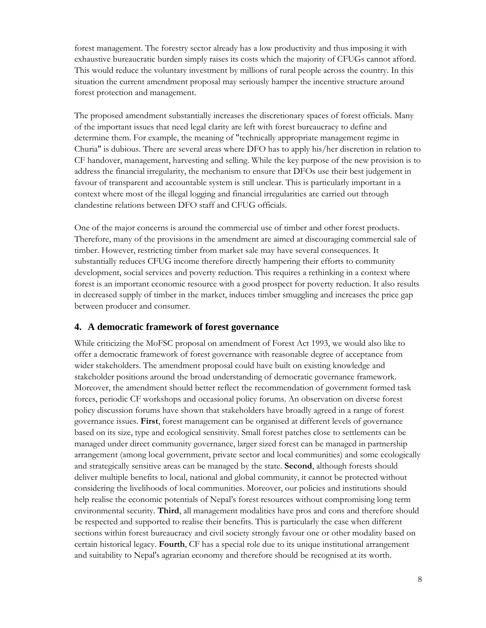forest management. The forestry sector already has a low productivity and thus imposing it with exhaustive bureaucratic burden simply raises its costs which the majority of CFUGs cannot afford. This would reduce the voluntary investment by millions of rural people across the country. In this situation the current amendment proposal may seriously hamper the incentive structure around forest protection and management.

The proposed amendment substantially increases the discretionary spaces of forest officials. Many of the important issues that need legal clarity are left with forest bureaucracy to define and determine them. For example, the meaning of "technically appropriate management regime in Churia" is dubious. There are several areas where DFO has to apply his/her discretion in relation to CF handover, management, harvesting and selling. While the key purpose of the new provision is to address the financial irregularity, the mechanism to ensure that DFOs use their best judgement in favour of transparent and accountable system is still unclear. This is particularly important in a context where most of the illegal logging and financial irregularities are carried out through clandestine relations between DFO staff and CFUG officials.

One of the major concerns is around the commercial use of timber and other forest products. Therefore, many of the provisions in the amendment are aimed at discouraging commercial sale of timber. However, restricting timber from market sale may have several consequences. It substantially reduces CFUG income therefore directly hampering their efforts to community development, social services and poverty reduction. This requires a rethinking in a context where forest is an important economic resource with a good prospect for poverty reduction. It also results in decreased supply of timber in the market, induces timber smuggling and increases the price gap between producer and consumer.

#### **4. A democratic framework of forest governance**

While criticizing the MoFSC proposal on amendment of Forest Act 1993, we would also like to offer a democratic framework of forest governance with reasonable degree of acceptance from wider stakeholders. The amendment proposal could have built on existing knowledge and stakeholder positions around the broad understanding of democratic governance framework. Moreover, the amendment should better reflect the recommendation of government formed task forces, periodic CF workshops and occasional policy forums. An observation on diverse forest policy discussion forums have shown that stakeholders have broadly agreed in a range of forest governance issues. **First**, forest management can be organised at different levels of governance based on its size, type and ecological sensitivity. Small forest patches close to settlements can be managed under direct community governance, larger sized forest can be managed in partnership arrangement (among local government, private sector and local communities) and some ecologically and strategically sensitive areas can be managed by the state. **Second**, although forests should deliver multiple benefits to local, national and global community, it cannot be protected without considering the livelihoods of local communities. Moreover, our policies and institutions should help realise the economic potentials of Nepal's forest resources without compromising long term environmental security. **Third**, all management modalities have pros and cons and therefore should be respected and supported to realise their benefits. This is particularly the case when different sections within forest bureaucracy and civil society strongly favour one or other modality based on certain historical legacy. **Fourth**, CF has a special role due to its unique institutional arrangement and suitability to Nepal's agrarian economy and therefore should be recognised at its worth.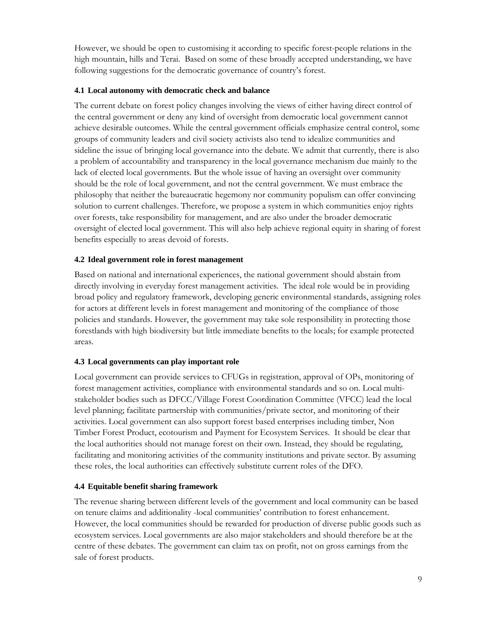However, we should be open to customising it according to specific forest-people relations in the high mountain, hills and Terai. Based on some of these broadly accepted understanding, we have following suggestions for the democratic governance of country's forest.

#### **4.1 Local autonomy with democratic check and balance**

The current debate on forest policy changes involving the views of either having direct control of the central government or deny any kind of oversight from democratic local government cannot achieve desirable outcomes. While the central government officials emphasize central control, some groups of community leaders and civil society activists also tend to idealize communities and sideline the issue of bringing local governance into the debate. We admit that currently, there is also a problem of accountability and transparency in the local governance mechanism due mainly to the lack of elected local governments. But the whole issue of having an oversight over community should be the role of local government, and not the central government. We must embrace the philosophy that neither the bureaucratic hegemony nor community populism can offer convincing solution to current challenges. Therefore, we propose a system in which communities enjoy rights over forests, take responsibility for management, and are also under the broader democratic oversight of elected local government. This will also help achieve regional equity in sharing of forest benefits especially to areas devoid of forests.

#### **4.2 Ideal government role in forest management**

Based on national and international experiences, the national government should abstain from directly involving in everyday forest management activities. The ideal role would be in providing broad policy and regulatory framework, developing generic environmental standards, assigning roles for actors at different levels in forest management and monitoring of the compliance of those policies and standards. However, the government may take sole responsibility in protecting those forestlands with high biodiversity but little immediate benefits to the locals; for example protected areas.

#### **4.3 Local governments can play important role**

Local government can provide services to CFUGs in registration, approval of OPs, monitoring of forest management activities, compliance with environmental standards and so on. Local multistakeholder bodies such as DFCC/Village Forest Coordination Committee (VFCC) lead the local level planning; facilitate partnership with communities/private sector, and monitoring of their activities. Local government can also support forest based enterprises including timber, Non Timber Forest Product, ecotourism and Payment for Ecosystem Services. It should be clear that the local authorities should not manage forest on their own. Instead, they should be regulating, facilitating and monitoring activities of the community institutions and private sector. By assuming these roles, the local authorities can effectively substitute current roles of the DFO.

#### **4.4 Equitable benefit sharing framework**

The revenue sharing between different levels of the government and local community can be based on tenure claims and additionality -local communities' contribution to forest enhancement. However, the local communities should be rewarded for production of diverse public goods such as ecosystem services. Local governments are also major stakeholders and should therefore be at the centre of these debates. The government can claim tax on profit, not on gross earnings from the sale of forest products.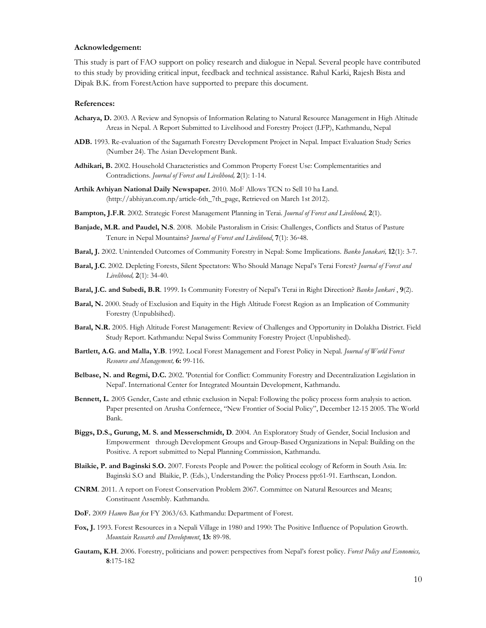#### **Acknowledgement:**

This study is part of FAO support on policy research and dialogue in Nepal. Several people have contributed to this study by providing critical input, feedback and technical assistance. Rahul Karki, Rajesh Bista and Dipak B.K. from ForestAction have supported to prepare this document.

#### **References:**

- **Acharya, D.** 2003. A Review and Synopsis of Information Relating to Natural Resource Management in High Altitude Areas in Nepal. A Report Submitted to Livelihood and Forestry Project (LFP), Kathmandu, Nepal
- **ADB.** 1993. Re-evaluation of the Sagarnath Forestry Development Project in Nepal. Impact Evaluation Study Series (Number 24). The Asian Development Bank.
- **Adhikari, B.** 2002. Household Characteristics and Common Property Forest Use: Complementarities and Contradictions. *Journal of Forest and Livelihood,* **2**(1): 1-14.
- **Arthik Avhiyan National Daily Newspaper.** 2010. MoF Allows TCN to Sell 10 ha Land. (http://abhiyan.com.np/article-6th\_7th\_page, Retrieved on March 1st 2012).
- **Bampton, J.F.R**. 2002. Strategic Forest Management Planning in Terai. *Journal of Forest and Livelihood,* **2**(1).
- **Banjade, M.R. and Paudel, N.S**. 2008. Mobile Pastoralism in Crisis: Challenges, Conflicts and Status of Pasture Tenure in Nepal Mountains? *Journal of Forest and Livelihood*, **7**(1): 36‐48.
- **Baral, J.** 2002. Unintended Outcomes of Community Forestry in Nepal: Some Implications. *Banko Janakari,* **12**(1): 3-7.
- **Baral, J.C**. 2002. Depleting Forests, Silent Spectators: Who Should Manage Nepal's Terai Forest? *Journal of Forest and Livelihood,* **2**(1): 34-40.
- **Baral, J.C. and Subedi, B.R**. 1999. Is Community Forestry of Nepal's Terai in Right Direction? *Banko Jankari* , **9**(2).
- **Baral, N.** 2000. Study of Exclusion and Equity in the High Altitude Forest Region as an Implication of Community Forestry (Unpublsihed).
- **Baral, N.R.** 2005. High Altitude Forest Management: Review of Challenges and Opportunity in Dolakha District. Field Study Report. Kathmandu: Nepal Swiss Community Forestry Project (Unpublished).
- **Bartlett, A.G. and Malla, Y.B**. 1992. Local Forest Management and Forest Policy in Nepal. *Journal of World Forest Resource and Management,* **6:** 99-116.
- **Belbase, N. and Regmi, D.C.** 2002. 'Potential for Conflict: Community Forestry and Decentralization Legislation in Nepal'. International Center for Integrated Mountain Development, Kathmandu.
- **Bennett, L**. 2005 Gender, Caste and ethnic exclusion in Nepal: Following the policy process form analysis to action. Paper presented on Arusha Confernece, "New Frontier of Social Policy", December 12-15 2005. The World Bank.
- **Biggs, D.S., Gurung, M. S. and Messerschmidt, D**. 2004. An Exploratory Study of Gender, Social Inclusion and Empowerment through Development Groups and Group-Based Organizations in Nepal: Building on the Positive. A report submitted to Nepal Planning Commission, Kathmandu.
- **Blaikie, P. and Baginski S.O.** 2007. Forests People and Power: the political ecology of Reform in South Asia. In: Baginski S.O and Blaikie, P. (Eds.), Understanding the Policy Process pp:61-91. Earthscan, London.
- **CNRM**. 2011. A report on Forest Conservation Problem 2067. Committee on Natural Resources and Means; Constituent Assembly. Kathmandu.
- **DoF.** 2009 *Hamro Ban f*or FY 2063/63. Kathmandu: Department of Forest.
- **Fox, J.** 1993. Forest Resources in a Nepali Village in 1980 and 1990: The Positive Influence of Population Growth. *Mountain Research and Development*, **13:** 89-98.
- **Gautam, K.H**. 2006. Forestry, politicians and power: perspectives from Nepal's forest policy. *Forest Policy and Economics,* **8**:175-182